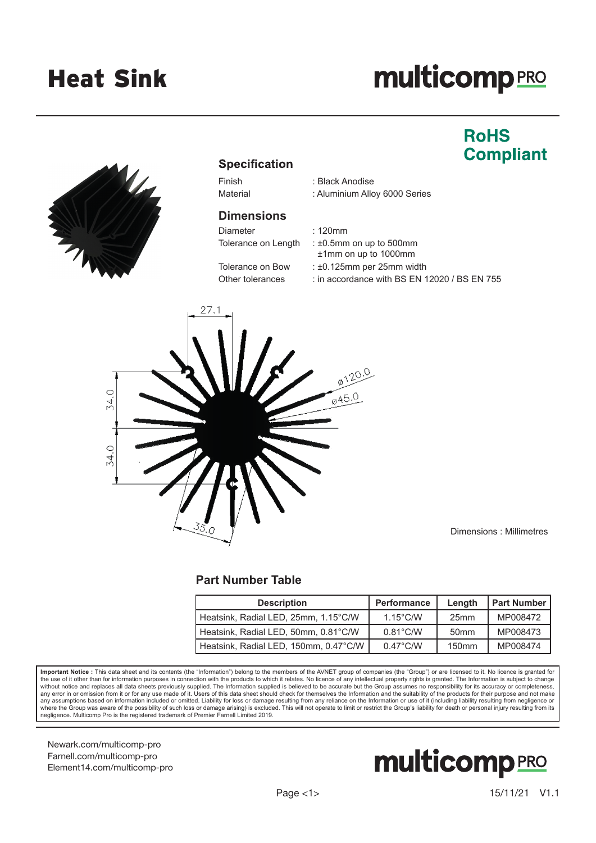# **multicomp**PRO

## **RoHS Compliant**



### **Specification**

#### **Dimensions**

Diameter : 120mm

- Finish : Black Anodise
- Material : Aluminium Alloy 6000 Series

Tolerance on Length : ±0.5mm on up to 500mm

- ±1mm on up to 1000mm
- Tolerance on Bow : ±0.125mm per 25mm width
- Other tolerances : in accordance with BS EN 12020 / BS EN 755



Dimensions : Millimetres

#### **Part Number Table**

| <b>Description</b>                    | Performance        | Lenath            | <b>Part Number</b> |
|---------------------------------------|--------------------|-------------------|--------------------|
| Heatsink, Radial LED, 25mm, 1.15°C/W  | $1.15^{\circ}$ C/W | 25 <sub>mm</sub>  | MP008472           |
| Heatsink, Radial LED, 50mm, 0.81°C/W  | $0.81^{\circ}$ C/W | 50 <sub>mm</sub>  | MP008473           |
| Heatsink, Radial LED, 150mm, 0.47°C/W | $0.47^{\circ}$ C/W | 150 <sub>mm</sub> | MP008474           |

**Important Notice :** This data sheet and its contents (the "Information") belong to the members of the AVNET group of companies (the "Group") or are licensed to it. No licence is granted for the use of it other than for information purposes in connection with the products to which it relates. No licence of any intellectual property rights is granted. The Information is subject to change<br>without notice and repl any error in or omission from it or for any use made of it. Users of this data sheet should check for themselves the Information and the suitability of the products for their purpose and not make  $\alpha$ . any assumptions based on information included or omitted. Liability for loss or damage resulting from any reliance on the Information or use of it (including liability resulting from negligence or<br>where the Group was aware negligence. Multicomp Pro is the registered trademark of Premier Farnell Limited 2019.

Newark.com/multicomp-pro Farnell.com/multicomp-pro Element14.com/multicomp-pro